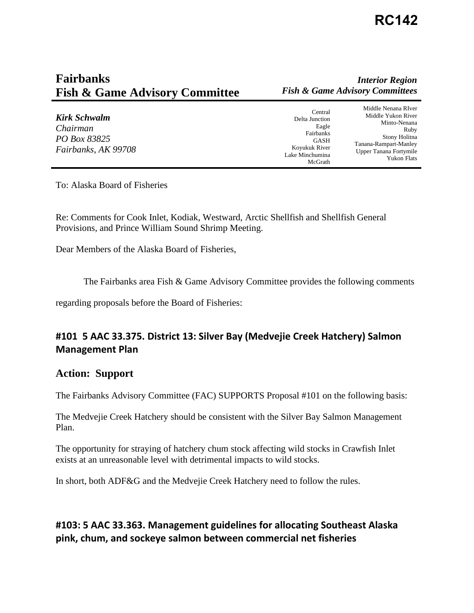# **Fairbanks** *Interior Region*  **Fish & Game Advisory Committee** *Fish & Game Advisory Committees*

| Kirk Schwalm<br>Chairman<br>PO Box 83825<br>Fairbanks, AK 99708 | Central<br>Delta Junction<br>Eagle<br>Fairbanks<br><b>GASH</b><br>Koyukuk River<br>Lake Minchumina<br>McGrath | Middle Nenana RIver<br>Middle Yukon River<br>Minto-Nenana<br>Ruby<br>Stony Holitna<br>Tanana-Rampart-Manley<br>Upper Tanana Fortymile<br><b>Yukon Flats</b> |
|-----------------------------------------------------------------|---------------------------------------------------------------------------------------------------------------|-------------------------------------------------------------------------------------------------------------------------------------------------------------|
|-----------------------------------------------------------------|---------------------------------------------------------------------------------------------------------------|-------------------------------------------------------------------------------------------------------------------------------------------------------------|

To: Alaska Board of Fisheries

Re: Comments for Cook Inlet, Kodiak, Westward, Arctic Shellfish and Shellfish General Provisions, and Prince William Sound Shrimp Meeting.

Dear Members of the Alaska Board of Fisheries,

The Fairbanks area Fish  $\&$  Game Advisory Committee provides the following comments

regarding proposals before the Board of Fisheries:

## **#101 5 AAC 33.375. District 13: Silver Bay (Medvejie Creek Hatchery) Salmon Management Plan**

#### **Action: Support**

The Fairbanks Advisory Committee (FAC) SUPPORTS Proposal #101 on the following basis:

The Medvejie Creek Hatchery should be consistent with the Silver Bay Salmon Management Plan.

The opportunity for straying of hatchery chum stock affecting wild stocks in Crawfish Inlet exists at an unreasonable level with detrimental impacts to wild stocks.

In short, both ADF&G and the Medvejie Creek Hatchery need to follow the rules.

### **#103: 5 AAC 33.363. Management guidelines for allocating Southeast Alaska pink, chum, and sockeye salmon between commercial net fisheries**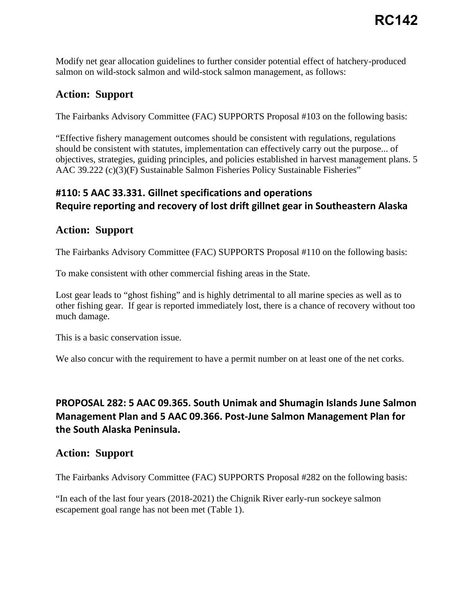Modify net gear allocation guidelines to further consider potential effect of hatchery-produced salmon on wild-stock salmon and wild-stock salmon management, as follows:

## **Action: Support**

The Fairbanks Advisory Committee (FAC) SUPPORTS Proposal #103 on the following basis:

"Effective fishery management outcomes should be consistent with regulations, regulations should be consistent with statutes, implementation can effectively carry out the purpose... of objectives, strategies, guiding principles, and policies established in harvest management plans. 5 AAC 39.222 (c)(3)(F) Sustainable Salmon Fisheries Policy Sustainable Fisheries"

## **#110: 5 AAC 33.331. Gillnet specifications and operations Require reporting and recovery of lost drift gillnet gear in Southeastern Alaska**

### **Action: Support**

The Fairbanks Advisory Committee (FAC) SUPPORTS Proposal #110 on the following basis:

To make consistent with other commercial fishing areas in the State.

Lost gear leads to "ghost fishing" and is highly detrimental to all marine species as well as to other fishing gear. If gear is reported immediately lost, there is a chance of recovery without too much damage.

This is a basic conservation issue.

We also concur with the requirement to have a permit number on at least one of the net corks.

## **PROPOSAL 282: 5 AAC 09.365. South Unimak and Shumagin Islands June Salmon Management Plan and 5 AAC 09.366. Post-June Salmon Management Plan for the South Alaska Peninsula.**

### **Action: Support**

The Fairbanks Advisory Committee (FAC) SUPPORTS Proposal #282 on the following basis:

"In each of the last four years (2018-2021) the Chignik River early-run sockeye salmon escapement goal range has not been met (Table 1).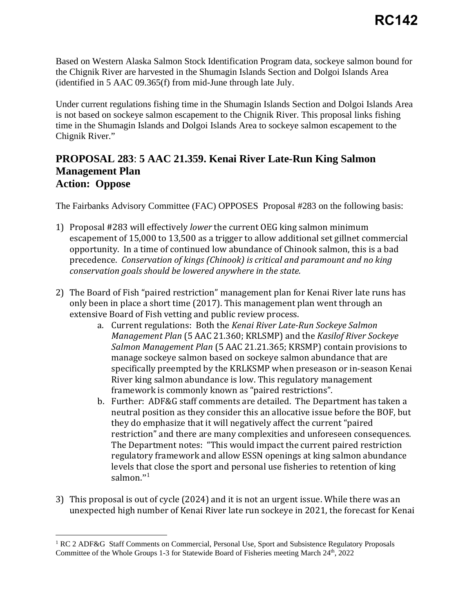Based on Western Alaska Salmon Stock Identification Program data, sockeye salmon bound for the Chignik River are harvested in the Shumagin Islands Section and Dolgoi Islands Area (identified in 5 AAC 09.365(f) from mid-June through late July.

Under current regulations fishing time in the Shumagin Islands Section and Dolgoi Islands Area is not based on sockeye salmon escapement to the Chignik River. This proposal links fishing time in the Shumagin Islands and Dolgoi Islands Area to sockeye salmon escapement to the Chignik River."

### **PROPOSAL 283**: **5 AAC 21.359. Kenai River Late-Run King Salmon Management Plan Action: Oppose**

The Fairbanks Advisory Committee (FAC) OPPOSES Proposal #283 on the following basis:

- 1) Proposal #283 will effectively *lower* the current OEG king salmon minimum escapement of 15,000 to 13,500 as a trigger to allow additional set gillnet commercial opportunity. In a time of continued low abundance of Chinook salmon, this is a bad precedence. *Conservation of kings (Chinook) is critical and paramount and no king conservation goals should be lowered anywhere in the state.*
- 2) The Board of Fish "paired restriction" management plan for Kenai River late runs has only been in place a short time (2017). This management plan went through an extensive Board of Fish vetting and public review process.
	- a. Current regulations: Both the *Kenai River Late-Run Sockeye Salmon Management Plan* (5 AAC 21.360; KRLSMP) and the *Kasilof River Sockeye Salmon Management Plan* (5 AAC 21.21.365; KRSMP) contain provisions to manage sockeye salmon based on sockeye salmon abundance that are specifically preempted by the KRLKSMP when preseason or in-season Kenai River king salmon abundance is low. This regulatory management framework is commonly known as "paired restrictions".
	- b. Further: ADF&G staff comments are detailed. The Department has taken a neutral position as they consider this an allocative issue before the BOF, but they do emphasize that it will negatively affect the current "paired restriction" and there are many complexities and unforeseen consequences. The Department notes: "This would impact the current paired restriction regulatory framework and allow ESSN openings at king salmon abundance levels that close the sport and personal use fisheries to retention of king salmon."<sup>1</sup>
- 3) This proposal is out of cycle (2024) and it is not an urgent issue. While there was an unexpected high number of Kenai River late run sockeye in 2021, the forecast for Kenai

<span id="page-2-0"></span><sup>&</sup>lt;sup>1</sup> RC 2 ADF&G Staff Comments on Commercial, Personal Use, Sport and Subsistence Regulatory Proposals Committee of the Whole Groups 1-3 for Statewide Board of Fisheries meeting March 24th, 2022